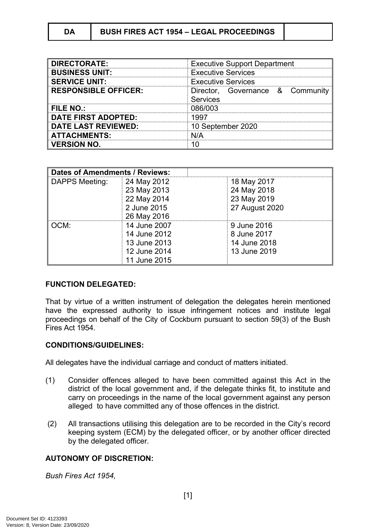# **DA BUSH FIRES ACT 1954 – LEGAL PROCEEDINGS**

| <b>DIRECTORATE:</b>         | <b>Executive Support Department</b>                 |  |
|-----------------------------|-----------------------------------------------------|--|
| <b>BUSINESS UNIT:</b>       | <b>Executive Services</b>                           |  |
| <b>SERVICE UNIT:</b>        | <b>Executive Services</b>                           |  |
| <b>RESPONSIBLE OFFICER:</b> | Director, Governance & Community<br><b>Services</b> |  |
| FILE NO.:                   | 086/003                                             |  |
| <b>DATE FIRST ADOPTED:</b>  | 1997                                                |  |
| <b>DATE LAST REVIEWED:</b>  | 10 September 2020                                   |  |
| <b>ATTACHMENTS:</b>         | NI/A                                                |  |
| <b>VERSION NO.</b>          |                                                     |  |

| <b>Dates of Amendments / Reviews:</b> |              |                |
|---------------------------------------|--------------|----------------|
| DAPPS Meeting:                        | 24 May 2012  | 18 May 2017    |
|                                       | 23 May 2013  | 24 May 2018    |
|                                       | 22 May 2014  | 23 May 2019    |
|                                       | 2 June 2015  | 27 August 2020 |
|                                       | 26 May 2016  |                |
| OCM:                                  | 14 June 2007 | 9 June 2016    |
|                                       | 14 June 2012 | 8 June 2017    |
|                                       | 13 June 2013 | 14 June 2018   |
|                                       | 12 June 2014 | 13 June 2019   |
|                                       | 11 June 2015 |                |

#### **FUNCTION DELEGATED:**

That by virtue of a written instrument of delegation the delegates herein mentioned have the expressed authority to issue infringement notices and institute legal proceedings on behalf of the City of Cockburn pursuant to section 59(3) of the Bush Fires Act 1954.

#### **CONDITIONS/GUIDELINES:**

All delegates have the individual carriage and conduct of matters initiated.

- (1) Consider offences alleged to have been committed against this Act in the district of the local government and, if the delegate thinks fit, to institute and carry on proceedings in the name of the local government against any person alleged to have committed any of those offences in the district.
- (2) All transactions utilising this delegation are to be recorded in the City's record keeping system (ECM) by the delegated officer, or by another officer directed by the delegated officer.

# **AUTONOMY OF DISCRETION:**

*Bush Fires Act 1954,*